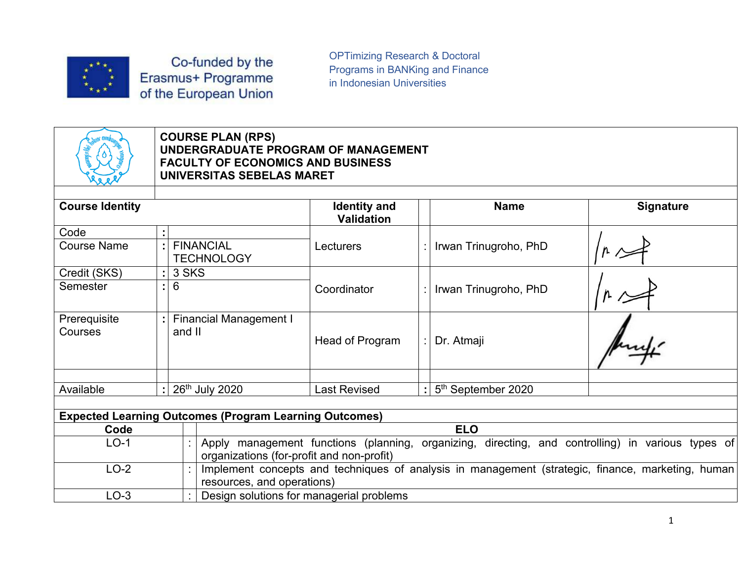

OPTimizing Research & Doctoral<br>Programs in BANKing and Finance<br>in Indonesian Universities OPTimizing Research & Doctoral<br>Programs in BANKing and Finance<br>in Indonesian Universities<br>All the Search of Search Search Search Search Search Search Search Search Search Search Search Search Search OPTimizing Research & Doctoral<br>Programs in BANKing and Finance<br>in Indonesian Universities



## Co-funded by the<br>
Smus+ Programme<br>
Programs in BANKing and Finance<br>
The European Union<br>
COURSE PLAN (RPS)<br>
UNDERGRADUATE PROGRAM OF MANAGEMENT<br>
FACULTY OF ECONOMICS AND BUSINESS<br>
UNIVERSITAS SEBELAS MARET Co-funded by the<br>
Smus+ Programme<br>
Programs in BANKing and Finance<br>
the European Union<br>
COURSE PLAN (RPS)<br>
UNDERGRADUATE PROGRAM OF MANAGEMENT<br>
FACULTY OF ECONOMICS AND BUSINESS<br>
UNIVERSITAS SEBELAS MARET<br>
UNIVERSITAS SEBE

|                            |  |       |        | Co-funded by the<br>Erasmus+ Programme<br>of the European Union                                   | <b>OPTimizing Research &amp; Doctoral</b><br>Programs in BANKing and Finance<br>in Indonesian Universities |             |                                                                                                   |                  |  |
|----------------------------|--|-------|--------|---------------------------------------------------------------------------------------------------|------------------------------------------------------------------------------------------------------------|-------------|---------------------------------------------------------------------------------------------------|------------------|--|
|                            |  |       |        | <b>COURSE PLAN (RPS)</b><br><b>FACULTY OF ECONOMICS AND BUSINESS</b><br>UNIVERSITAS SEBELAS MARET | UNDERGRADUATE PROGRAM OF MANAGEMENT                                                                        |             |                                                                                                   |                  |  |
| <b>Course Identity</b>     |  |       |        |                                                                                                   | <b>Identity and</b><br>Validation                                                                          | <b>Name</b> |                                                                                                   | <b>Signature</b> |  |
| Code<br><b>Course Name</b> |  |       |        | <b>FINANCIAL</b>                                                                                  | Lecturers                                                                                                  |             | Irwan Trinugroho, PhD                                                                             |                  |  |
|                            |  |       |        | <b>TECHNOLOGY</b>                                                                                 |                                                                                                            |             |                                                                                                   |                  |  |
| Credit (SKS)<br>Semester   |  | $6\,$ | 3 SKS  |                                                                                                   | Coordinator                                                                                                |             | Irwan Trinugroho, PhD                                                                             |                  |  |
| Prerequisite<br>Courses    |  |       | and II | <b>Financial Management I</b>                                                                     | Head of Program                                                                                            |             | Dr. Atmaji                                                                                        |                  |  |
| Available                  |  |       |        | 26th July 2020                                                                                    | <b>Last Revised</b>                                                                                        |             | 5 <sup>th</sup> September 2020                                                                    |                  |  |
|                            |  |       |        |                                                                                                   |                                                                                                            |             |                                                                                                   |                  |  |
|                            |  |       |        | <b>Expected Learning Outcomes (Program Learning Outcomes)</b>                                     |                                                                                                            |             |                                                                                                   |                  |  |
| Code                       |  |       |        |                                                                                                   |                                                                                                            |             | <b>ELO</b>                                                                                        |                  |  |
| $LO-1$                     |  |       |        | organizations (for-profit and non-profit)                                                         |                                                                                                            |             | Apply management functions (planning, organizing, directing, and controlling) in various types of |                  |  |
| $LO-2$                     |  |       |        | resources, and operations)                                                                        |                                                                                                            |             | Implement concepts and techniques of analysis in management (strategic, finance, marketing, human |                  |  |
| $LO-3$                     |  |       |        |                                                                                                   | Design solutions for managerial problems                                                                   |             |                                                                                                   |                  |  |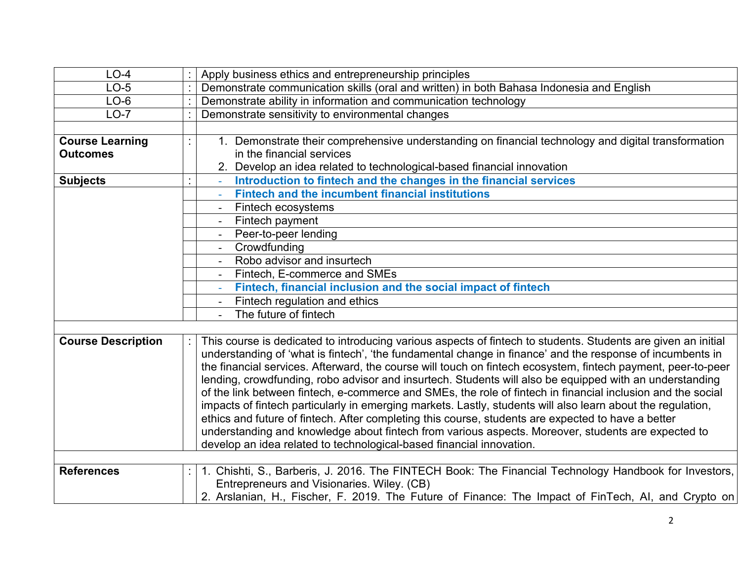| $LO-4$                                    | Apply business ethics and entrepreneurship principles                                                                         |
|-------------------------------------------|-------------------------------------------------------------------------------------------------------------------------------|
| $LO-5$                                    | Demonstrate communication skills (oral and written) in both Bahasa Indonesia and English                                      |
| $LO-6$                                    | Demonstrate ability in information and communication technology                                                               |
| $LO-7$                                    | Demonstrate sensitivity to environmental changes                                                                              |
|                                           |                                                                                                                               |
| <b>Course Learning</b><br><b>Outcomes</b> | Demonstrate their comprehensive understanding on financial technology and digital transformation<br>in the financial services |
|                                           | 2. Develop an idea related to technological-based financial innovation                                                        |
| <b>Subjects</b>                           | Introduction to fintech and the changes in the financial services                                                             |
|                                           | <b>Fintech and the incumbent financial institutions</b>                                                                       |
|                                           | Fintech ecosystems                                                                                                            |
|                                           | Fintech payment                                                                                                               |
|                                           | Peer-to-peer lending                                                                                                          |
|                                           | Crowdfunding                                                                                                                  |
|                                           | Robo advisor and insurtech                                                                                                    |
|                                           | Fintech, E-commerce and SMEs                                                                                                  |
|                                           | Fintech, financial inclusion and the social impact of fintech                                                                 |
|                                           | Fintech regulation and ethics                                                                                                 |
|                                           | The future of fintech                                                                                                         |
| <b>Course Description</b>                 | This course is dedicated to introducing various aspects of fintech to students. Students are given an initial                 |
|                                           | understanding of 'what is fintech', 'the fundamental change in finance' and the response of incumbents in                     |
|                                           | the financial services. Afterward, the course will touch on fintech ecosystem, fintech payment, peer-to-peer                  |
|                                           | lending, crowdfunding, robo advisor and insurtech. Students will also be equipped with an understanding                       |
|                                           | of the link between fintech, e-commerce and SMEs, the role of fintech in financial inclusion and the social                   |
|                                           | impacts of fintech particularly in emerging markets. Lastly, students will also learn about the regulation,                   |
|                                           | ethics and future of fintech. After completing this course, students are expected to have a better                            |
|                                           | understanding and knowledge about fintech from various aspects. Moreover, students are expected to                            |
|                                           | develop an idea related to technological-based financial innovation.                                                          |
| <b>References</b>                         | . Chishti, S., Barberis, J. 2016. The FINTECH Book: The Financial Technology Handbook for Investors,                          |
|                                           | Entrepreneurs and Visionaries. Wiley. (CB)                                                                                    |
|                                           | 2. Arslanian, H., Fischer, F. 2019. The Future of Finance: The Impact of FinTech, AI, and Crypto on                           |
|                                           |                                                                                                                               |
|                                           | $\overline{2}$                                                                                                                |
|                                           |                                                                                                                               |
|                                           |                                                                                                                               |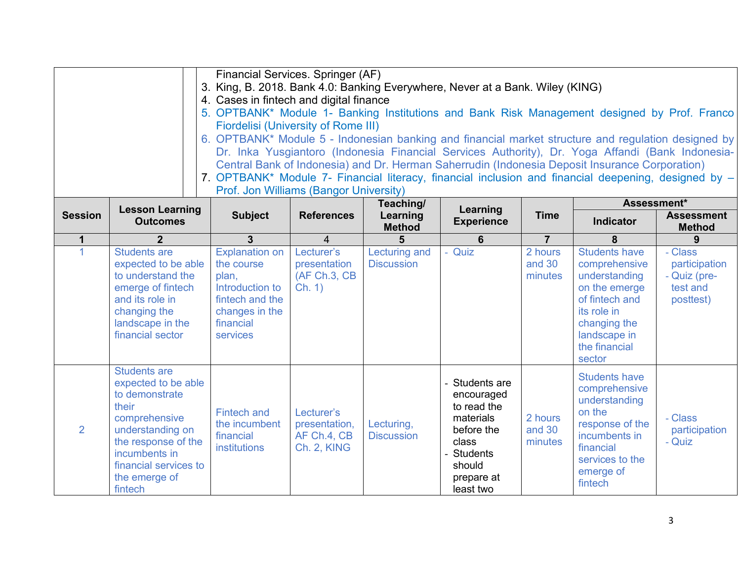|                |                                                                                                                                                                                                         | Financial Services. Springer (AF)<br>4. Cases in fintech and digital finance<br><b>Fiordelisi (University of Rome III)</b><br>Prof. Jon Williams (Bangor University) |                                                           |                                        | 3. King, B. 2018. Bank 4.0: Banking Everywhere, Never at a Bank. Wiley (KING)                                                         |                              | 5. OPTBANK* Module 1- Banking Institutions and Bank Risk Management designed by Prof. Franco<br>6. OPTBANK* Module 5 - Indonesian banking and financial market structure and regulation designed by<br>Dr. Inka Yusgiantoro (Indonesia Financial Services Authority), Dr. Yoga Affandi (Bank Indonesia-<br>Central Bank of Indonesia) and Dr. Herman Saherrudin (Indonesia Deposit Insurance Corporation)<br>7. OPTBANK* Module 7- Financial literacy, financial inclusion and financial deepening, designed by - |                                                                   |
|----------------|---------------------------------------------------------------------------------------------------------------------------------------------------------------------------------------------------------|----------------------------------------------------------------------------------------------------------------------------------------------------------------------|-----------------------------------------------------------|----------------------------------------|---------------------------------------------------------------------------------------------------------------------------------------|------------------------------|-------------------------------------------------------------------------------------------------------------------------------------------------------------------------------------------------------------------------------------------------------------------------------------------------------------------------------------------------------------------------------------------------------------------------------------------------------------------------------------------------------------------|-------------------------------------------------------------------|
| <b>Session</b> | <b>Lesson Learning</b><br><b>Outcomes</b>                                                                                                                                                               | <b>Subject</b>                                                                                                                                                       | <b>References</b>                                         | Teaching/<br>Learning<br><b>Method</b> | Learning<br><b>Experience</b>                                                                                                         | <b>Time</b>                  | Assessment*<br>Indicator                                                                                                                                                                                                                                                                                                                                                                                                                                                                                          | <b>Assessment</b><br><b>Method</b>                                |
| $\mathbf 1$    | $\overline{2}$                                                                                                                                                                                          | 3                                                                                                                                                                    |                                                           | 5                                      | 6                                                                                                                                     | $\overline{7}$               | 8                                                                                                                                                                                                                                                                                                                                                                                                                                                                                                                 | 9                                                                 |
|                | <b>Students are</b><br>expected to be able<br>to understand the<br>emerge of fintech<br>and its role in<br>changing the<br>landscape in the<br>financial sector                                         | Explanation on<br>the course<br>plan,<br>Introduction to<br>fintech and the<br>changes in the<br>financial<br>services                                               | Lecturer's<br>presentation<br>(AF Ch.3, CB<br>Ch. 1)      | Lecturing and<br><b>Discussion</b>     | Quiz                                                                                                                                  | 2 hours<br>and 30<br>minutes | <b>Students have</b><br>comprehensive<br>understanding<br>on the emerge<br>of fintech and<br>its role in<br>changing the<br>landscape in<br>the financial                                                                                                                                                                                                                                                                                                                                                         | - Class<br>participation<br>- Quiz (pre-<br>test and<br>posttest) |
|                |                                                                                                                                                                                                         |                                                                                                                                                                      |                                                           |                                        |                                                                                                                                       |                              | sector                                                                                                                                                                                                                                                                                                                                                                                                                                                                                                            |                                                                   |
| $\overline{2}$ | <b>Students are</b><br>expected to be able<br>to demonstrate<br>their<br>comprehensive<br>understanding on<br>the response of the<br>incumbents in<br>financial services to<br>the emerge of<br>fintech | <b>Fintech and</b><br>the incumbent<br>financial<br>institutions                                                                                                     | Lecturer's<br>presentation,<br>AF Ch.4, CB<br>Ch. 2, KING | Lecturing,<br><b>Discussion</b>        | Students are<br>encouraged<br>to read the<br>materials<br>before the<br>class<br><b>Students</b><br>should<br>prepare at<br>least two | 2 hours<br>and 30<br>minutes | <b>Students have</b><br>comprehensive<br>understanding<br>on the<br>response of the<br>incumbents in<br>financial<br>services to the<br>emerge of<br>fintech                                                                                                                                                                                                                                                                                                                                                      | - Class<br>participation<br>- Quiz                                |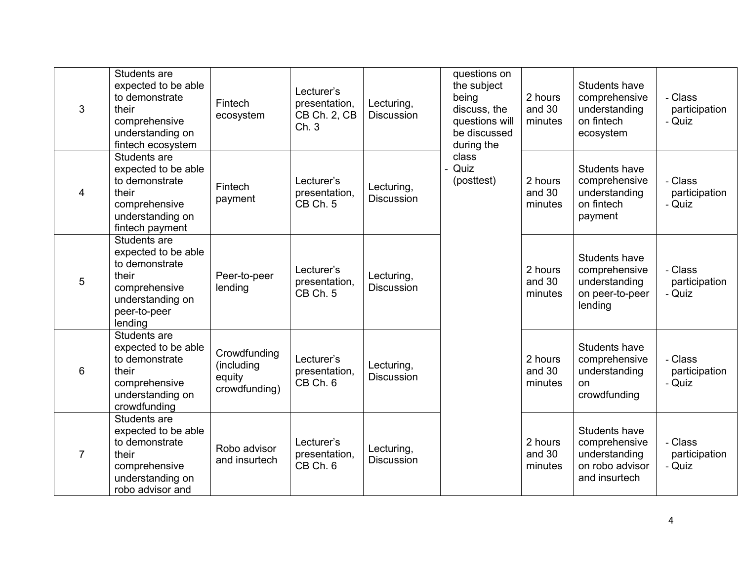| 3              | Students are<br>expected to be able<br>to demonstrate<br>their<br>comprehensive<br>understanding on<br>fintech ecosystem       | Fintech<br>ecosystem                                  | Lecturer's<br>presentation,<br>CB Ch. 2, CB<br>Ch. 3 | Lecturing,<br><b>Discussion</b> | questions on<br>the subject<br>being<br>discuss, the<br>questions will<br>be discussed<br>during the | 2 hours<br>and 30<br>minutes | Students have<br>comprehensive<br>understanding<br>on fintech<br>ecosystem          | - Class<br>participation<br>- Quiz |
|----------------|--------------------------------------------------------------------------------------------------------------------------------|-------------------------------------------------------|------------------------------------------------------|---------------------------------|------------------------------------------------------------------------------------------------------|------------------------------|-------------------------------------------------------------------------------------|------------------------------------|
| $\overline{4}$ | Students are<br>expected to be able<br>to demonstrate<br>their<br>comprehensive<br>understanding on<br>fintech payment         | Fintech<br>payment                                    | Lecturer's<br>presentation,<br>CB Ch. 5              | Lecturing,<br><b>Discussion</b> | class<br>Quiz<br>(posttest)                                                                          | 2 hours<br>and 30<br>minutes | Students have<br>comprehensive<br>understanding<br>on fintech<br>payment            | - Class<br>participation<br>- Quiz |
| 5              | Students are<br>expected to be able<br>to demonstrate<br>their<br>comprehensive<br>understanding on<br>peer-to-peer<br>lending | Peer-to-peer<br>lending                               | Lecturer's<br>presentation,<br>CB Ch. 5              | Lecturing,<br>Discussion        |                                                                                                      | 2 hours<br>and 30<br>minutes | Students have<br>comprehensive<br>understanding<br>on peer-to-peer<br>lending       | - Class<br>participation<br>- Quiz |
| $6\phantom{1}$ | Students are<br>expected to be able<br>to demonstrate<br>their<br>comprehensive<br>understanding on<br>crowdfunding            | Crowdfunding<br>(including<br>equity<br>crowdfunding) | Lecturer's<br>presentation,<br>CB Ch. 6              | Lecturing,<br>Discussion        |                                                                                                      | 2 hours<br>and 30<br>minutes | Students have<br>comprehensive<br>understanding<br>on<br>crowdfunding               | - Class<br>participation<br>- Quiz |
| $\overline{7}$ | Students are<br>expected to be able<br>to demonstrate<br>their<br>comprehensive<br>understanding on<br>robo advisor and        | Robo advisor<br>and insurtech                         | Lecturer's<br>presentation,<br>CB Ch. 6              | Lecturing,<br><b>Discussion</b> |                                                                                                      | 2 hours<br>and 30<br>minutes | Students have<br>comprehensive<br>understanding<br>on robo advisor<br>and insurtech | - Class<br>participation<br>- Quiz |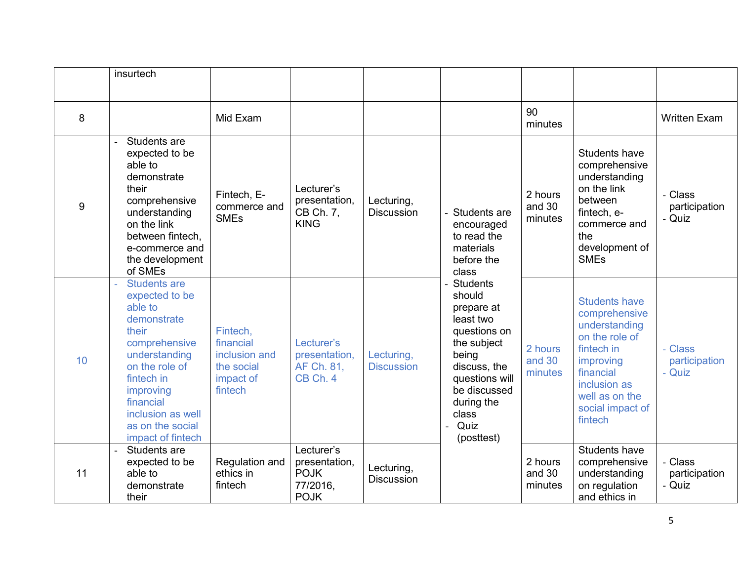| insurtech<br>90<br>$\,8\,$<br>Mid Exam<br><b>Written Exam</b><br>minutes<br>Students are<br>expected to be<br>Students have<br>comprehensive<br>able to<br>demonstrate<br>understanding<br>on the link<br>their<br>Lecturer's<br>Fintech, E-<br>2 hours<br>- Class<br>presentation,<br>comprehensive<br>Lecturing,<br>between<br>9<br>and 30<br>commerce and<br>participation<br>CB Ch. 7,<br>Discussion<br>understanding<br>fintech, e-<br>Students are<br><b>SMEs</b><br>- Quiz<br>minutes<br><b>KING</b><br>on the link<br>commerce and<br>encouraged<br>between fintech,<br>the<br>to read the<br>development of<br>materials<br>e-commerce and<br><b>SMEs</b><br>the development<br>before the<br>of SMEs<br>class<br><b>Students are</b><br>Students<br>expected to be<br>should<br><b>Students have</b><br>able to<br>prepare at<br>comprehensive<br>least two<br>demonstrate<br>understanding<br>their<br>Fintech,<br>questions on<br>on the role of<br>financial<br>the subject<br>comprehensive<br>Lecturer's<br>fintech in<br>Class<br>2 hours<br>inclusion and<br>understanding<br>presentation,<br>Lecturing,<br>being<br>10<br>and 30<br>improving<br>participation<br>on the role of<br><b>Discussion</b><br>discuss, the<br>AF Ch. 81,<br>the social<br>Quiz<br>financial<br>minutes<br>questions will<br>fintech in<br>CB Ch. 4<br>impact of<br>inclusion as<br>fintech<br>be discussed<br>improving<br>well as on the<br>during the<br>financial<br>social impact of<br>inclusion as well<br>class<br>fintech<br>Quiz<br>as on the social<br>impact of fintech<br>(posttest)<br>Lecturer's<br>Students have<br>Students are<br>Class<br>expected to be<br>Regulation and<br>presentation,<br>2 hours<br>comprehensive<br>Lecturing,<br><b>POJK</b><br>11<br>able to<br>ethics in<br>and 30<br>understanding<br>participation<br>Discussion<br>77/2016,<br>fintech<br>on regulation<br>- Quiz<br>demonstrate<br>minutes<br><b>POJK</b><br>and ethics in<br>their |  |  |  |  |  |
|-----------------------------------------------------------------------------------------------------------------------------------------------------------------------------------------------------------------------------------------------------------------------------------------------------------------------------------------------------------------------------------------------------------------------------------------------------------------------------------------------------------------------------------------------------------------------------------------------------------------------------------------------------------------------------------------------------------------------------------------------------------------------------------------------------------------------------------------------------------------------------------------------------------------------------------------------------------------------------------------------------------------------------------------------------------------------------------------------------------------------------------------------------------------------------------------------------------------------------------------------------------------------------------------------------------------------------------------------------------------------------------------------------------------------------------------------------------------------------------------------------------------------------------------------------------------------------------------------------------------------------------------------------------------------------------------------------------------------------------------------------------------------------------------------------------------------------------------------------------------------------------------------------------------------------------------------------------------------------------|--|--|--|--|--|
|                                                                                                                                                                                                                                                                                                                                                                                                                                                                                                                                                                                                                                                                                                                                                                                                                                                                                                                                                                                                                                                                                                                                                                                                                                                                                                                                                                                                                                                                                                                                                                                                                                                                                                                                                                                                                                                                                                                                                                                   |  |  |  |  |  |
|                                                                                                                                                                                                                                                                                                                                                                                                                                                                                                                                                                                                                                                                                                                                                                                                                                                                                                                                                                                                                                                                                                                                                                                                                                                                                                                                                                                                                                                                                                                                                                                                                                                                                                                                                                                                                                                                                                                                                                                   |  |  |  |  |  |
|                                                                                                                                                                                                                                                                                                                                                                                                                                                                                                                                                                                                                                                                                                                                                                                                                                                                                                                                                                                                                                                                                                                                                                                                                                                                                                                                                                                                                                                                                                                                                                                                                                                                                                                                                                                                                                                                                                                                                                                   |  |  |  |  |  |
|                                                                                                                                                                                                                                                                                                                                                                                                                                                                                                                                                                                                                                                                                                                                                                                                                                                                                                                                                                                                                                                                                                                                                                                                                                                                                                                                                                                                                                                                                                                                                                                                                                                                                                                                                                                                                                                                                                                                                                                   |  |  |  |  |  |
|                                                                                                                                                                                                                                                                                                                                                                                                                                                                                                                                                                                                                                                                                                                                                                                                                                                                                                                                                                                                                                                                                                                                                                                                                                                                                                                                                                                                                                                                                                                                                                                                                                                                                                                                                                                                                                                                                                                                                                                   |  |  |  |  |  |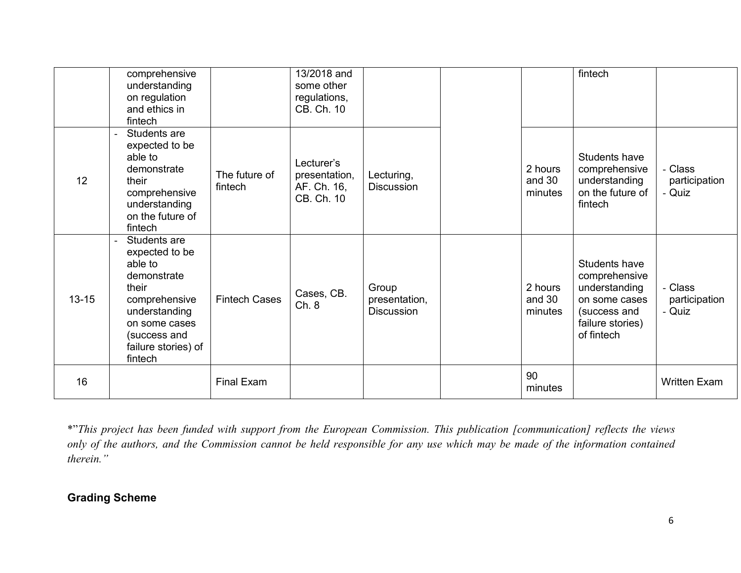|           | comprehensive<br>understanding<br>on regulation<br>and ethics in<br>fintech                                                                                            |                          | 13/2018 and<br>some other<br>regulations,<br>CB. Ch. 10  |                                      |                                                                                                                                                                                                                                                                | fintech                                                                                                            |                                    |
|-----------|------------------------------------------------------------------------------------------------------------------------------------------------------------------------|--------------------------|----------------------------------------------------------|--------------------------------------|----------------------------------------------------------------------------------------------------------------------------------------------------------------------------------------------------------------------------------------------------------------|--------------------------------------------------------------------------------------------------------------------|------------------------------------|
| 12        | Students are<br>expected to be<br>able to<br>demonstrate<br>their<br>comprehensive<br>understanding<br>on the future of<br>fintech                                     | The future of<br>fintech | Lecturer's<br>presentation,<br>AF. Ch. 16,<br>CB. Ch. 10 | Lecturing,<br>Discussion             | 2 hours<br>and 30<br>minutes                                                                                                                                                                                                                                   | Students have<br>comprehensive<br>understanding<br>on the future of<br>fintech                                     | - Class<br>participation<br>- Quiz |
| $13 - 15$ | Students are<br>expected to be<br>able to<br>demonstrate<br>their<br>comprehensive<br>understanding<br>on some cases<br>(success and<br>failure stories) of<br>fintech | <b>Fintech Cases</b>     | Cases, CB.<br>Ch. 8                                      | Group<br>presentation,<br>Discussion | 2 hours<br>and 30<br>minutes                                                                                                                                                                                                                                   | Students have<br>comprehensive<br>understanding<br>on some cases<br>(success and<br>failure stories)<br>of fintech | Class<br>participation<br>- Quiz   |
| 16        |                                                                                                                                                                        | Final Exam               |                                                          |                                      | 90<br>minutes                                                                                                                                                                                                                                                  |                                                                                                                    | <b>Written Exam</b>                |
| therein." | <b>Grading Scheme</b>                                                                                                                                                  |                          |                                                          |                                      | *"This project has been funded with support from the European Commission. This publication [communication] reflects the views<br>only of the authors, and the Commission cannot be held responsible for any use which may be made of the information contained |                                                                                                                    |                                    |
|           |                                                                                                                                                                        |                          |                                                          |                                      |                                                                                                                                                                                                                                                                |                                                                                                                    | 6                                  |